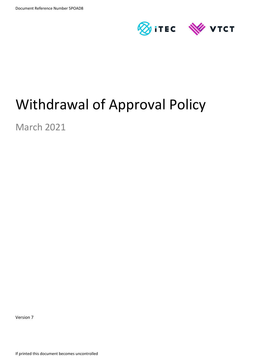

# Withdrawal of Approval Policy

March 2021

Version 7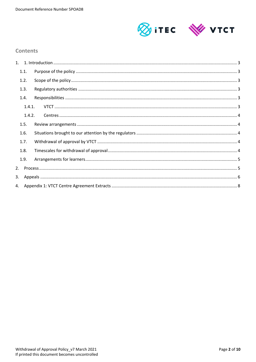

## **Contents**

|    | 1.1.   |  |
|----|--------|--|
|    | 1.2.   |  |
|    | 1.3.   |  |
|    | 1.4.   |  |
|    | 1.4.1. |  |
|    | 1.4.2. |  |
|    | 1.5.   |  |
|    | 1.6.   |  |
|    | 1.7.   |  |
|    | 1.8.   |  |
|    | 1.9.   |  |
| 2. |        |  |
| 3. |        |  |
|    |        |  |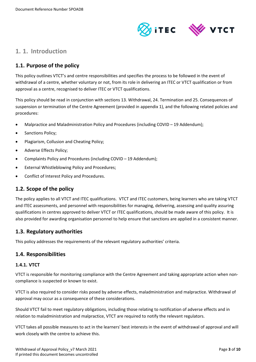

# <span id="page-2-0"></span>**1. 1. Introduction**

## <span id="page-2-1"></span>**1.1. Purpose of the policy**

This policy outlines VTCT's and centre responsibilities and specifies the process to be followed in the event of withdrawal of a centre, whether voluntary or not, from its role in delivering an ITEC or VTCT qualification or from approval as a centre, recognised to deliver ITEC or VTCT qualifications.

This policy should be read in conjunction with sections 13. Withdrawal, 24. Termination and 25. Consequences of suspension or termination of the Centre Agreement (provided in appendix 1), and the following related policies and procedures:

- Malpractice and Maladministration Policy and Procedures (including COVID 19 Addendum);
- Sanctions Policy;
- Plagiarism, Collusion and Cheating Policy;
- Adverse Effects Policy;
- Complaints Policy and Procedures (including COVID 19 Addendum);
- **External Whistleblowing Policy and Procedures:**
- Conflict of Interest Policy and Procedures.

## <span id="page-2-2"></span>**1.2. Scope of the policy**

The policy applies to all VTCT and ITEC qualifications. VTCT and ITEC customers, being learners who are taking VTCT and ITEC assessments, and personnel with responsibilities for managing, delivering, assessing and quality assuring qualifications in centres approved to deliver VTCT or ITEC qualifications, should be made aware of this policy. It is also provided for awarding organisation personnel to help ensure that sanctions are applied in a consistent manner.

## <span id="page-2-3"></span>**1.3. Regulatory authorities**

This policy addresses the requirements of the relevant regulatory authorities' criteria.

## <span id="page-2-4"></span>**1.4. Responsibilities**

#### <span id="page-2-5"></span>**1.4.1. VTCT**

VTCT is responsible for monitoring compliance with the Centre Agreement and taking appropriate action when noncompliance is suspected or known to exist.

VTCT is also required to consider risks posed by adverse effects, maladministration and malpractice. Withdrawal of approval may occur as a consequence of these considerations.

Should VTCT fail to meet regulatory obligations, including those relating to notification of adverse effects and in relation to maladministration and malpractice, VTCT are required to notify the relevant regulators.

VTCT takes all possible measures to act in the learners' best interests in the event of withdrawal of approval and will work closely with the centre to achieve this.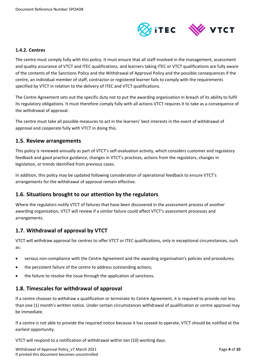

#### <span id="page-3-0"></span>**1.4.2. Centres**

The centre must comply fully with this policy. It must ensure that all staff involved in the management, assessment and quality assurance of VTCT and ITEC qualifications, and learners taking ITEC or VTCT qualifications are fully aware of the contents of the Sanctions Policy and the Withdrawal of Approval Policy and the possible consequences if the centre, an individual member of staff, contractor or registered learner fails to comply with the requirements specified by VTCT in relation to the delivery of ITEC and VTCT qualifications.

The Centre Agreement sets out the specific duty not to put the awarding organisation in breach of its ability to fulfil its regulatory obligations. It must therefore comply fully with all actions VTCT requires it to take as a consequence of the withdrawal of approval.

The centre must take all possible measures to act in the learners' best interests in the event of withdrawal of approval and cooperate fully with VTCT in doing this.

#### <span id="page-3-1"></span>**1.5. Review arrangements**

This policy is reviewed annually as part of VTCT's self-evaluation activity, which considers customer and regulatory feedback and good practice guidance, changes in VTCT's practices, actions from the regulators, changes in legislation, or trends identified from previous cases.

In addition, this policy may be updated following consideration of operational feedback to ensure VTCT's arrangements for the withdrawal of approval remain effective.

## <span id="page-3-2"></span>**1.6. Situations brought to our attention by the regulators**

Where the regulators notify VTCT of failures that have been discovered in the assessment process of another awarding organisation, VTCT will review if a similar failure could affect VTCT's assessment processes and arrangements.

## <span id="page-3-3"></span>**1.7. Withdrawal of approval by VTCT**

VTCT will withdraw approval for centres to offer VTCT or ITEC qualifications, only in exceptional circumstances, such as:

- serious non-compliance with the Centre Agreement and the awarding organisation's policies and procedures;
- the persistent failure of the centre to address outstanding actions;
- the failure to resolve the issue through the application of sanctions.

## <span id="page-3-4"></span>**1.8. Timescales for withdrawal of approval**

If a centre chooses to withdraw a qualification or terminate its Centre Agreement, it is required to provide not less than one (1) month's written notice. Under certain circumstances withdrawal of qualification or centre approval may be immediate.

If a centre is not able to provide the required notice because it has ceased to operate, VTCT should be notified at the earliest opportunity.

VTCT will respond to a notification of withdrawal within ten (10) working days.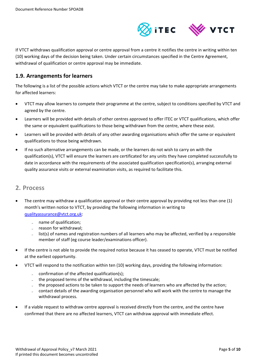

If VTCT withdraws qualification approval or centre approval from a centre it notifies the centre in writing within ten (10) working days of the decision being taken. Under certain circumstances specified in the Centre Agreement, withdrawal of qualification or centre approval may be immediate.

## <span id="page-4-0"></span>**1.9. Arrangements for learners**

The following is a list of the possible actions which VTCT or the centre may take to make appropriate arrangements for affected learners:

- VTCT may allow learners to compete their programme at the centre, subject to conditions specified by VTCT and agreed by the centre.
- Learners will be provided with details of other centres approved to offer ITEC or VTCT qualifications, which offer the same or equivalent qualifications to those being withdrawn from the centre, where these exist.
- Learners will be provided with details of any other awarding organisations which offer the same or equivalent qualifications to those being withdrawn.
- If no such alternative arrangements can be made, or the learners do not wish to carry on with the qualification(s), VTCT will ensure the learners are certificated for any units they have completed successfully to date in accordance with the requirements of the associated qualification specification(s), arranging external quality assurance visits or external examination visits, as required to facilitate this.

## <span id="page-4-1"></span>**2. Process**

- The centre may withdraw a qualification approval or their centre approval by providing not less than one (1) month's written notice to VTCT, by providing the following information in writing to [qualityassurance@vtct.org.uk:](mailto:qualityassurance@vtct.org.uk)
	- name of qualification;
	- reason for withdrawal;
	- list(s) of names and registration numbers of all learners who may be affected, verified by a responsible member of staff (eg course leader/examinations officer).
- If the centre is not able to provide the required notice because it has ceased to operate, VTCT must be notified at the earliest opportunity.
- VTCT will respond to the notification within ten (10) working days, providing the following information:
	- $=$  confirmation of the affected qualification(s);
	- the proposed terms of the withdrawal, including the timescale;
	- the proposed actions to be taken to support the needs of learners who are affected by the action;
	- contact details of the awarding organisation personnel who will work with the centre to manage the withdrawal process.
- If a viable request to withdraw centre approval is received directly from the centre, and the centre have confirmed that there are no affected learners, VTCT can withdraw approval with immediate effect.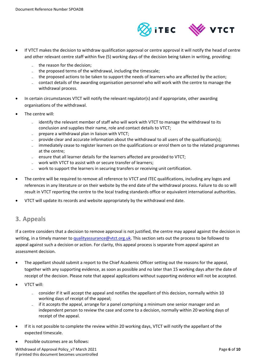

- If VTCT makes the decision to withdraw qualification approval or centre approval it will notify the head of centre and other relevant centre staff within five (5) working days of the decision being taken in writing, providing:
	- the reason for the decision;
	- $\blacksquare$  the proposed terms of the withdrawal, including the timescale;
	- the proposed actions to be taken to support the needs of learners who are affected by the action;
	- contact details of the awarding organisation personnel who will work with the centre to manage the withdrawal process.
- In certain circumstances VTCT will notify the relevant regulator(s) and if appropriate, other awarding organisations of the withdrawal.
- The centre will:
	- identify the relevant member of staff who will work with VTCT to manage the withdrawal to its conclusion and supplies their name, role and contact details to VTCT;
	- prepare a withdrawal plan in liaison with VTCT;
	- provide clear and accurate information about the withdrawal to all users of the qualification(s);
	- immediately cease to register learners on the qualifications or enrol them on to the related programmes at the centre;
	- ensure that all learner details for the learners affected are provided to VTCT;
	- work with VTCT to assist with or secure transfer of learners:
	- work to support the learners in securing transfers or receiving unit certification.
- The centre will be required to remove all reference to VTCT and ITEC qualifications, including any logos and references in any literature or on their website by the end date of the withdrawal process. Failure to do so will result in VTCT reporting the centre to the local trading standards office or equivalent international authorities.
- <span id="page-5-0"></span>• VTCT will update its records and website appropriately by the withdrawal end date.

# **3. Appeals**

If a centre considers that a decision to remove approval is not justified, the centre may appeal against the decision in writing, in a timely manner to [qualityassurance@vtct.org.uk.](mailto:qualityassurance@vtct.org.uk) This section sets out the process to be followed to appeal against such a decision or action. For clarity, this appeal process is separate from appeal against an assessment decision.

- The appellant should submit a report to the Chief Academic Officer setting out the reasons for the appeal, together with any supporting evidence, as soon as possible and no later than 15 working days after the date of receipt of the decision. Please note that appeal applications without supporting evidence will not be accepted.
- VTCT will:
	- consider if it will accept the appeal and notifies the appellant of this decision, normally within 10 working days of receipt of the appeal;
	- if it accepts the appeal, arrange for a panel comprising a minimum one senior manager and an independent person to review the case and come to a decision, normally within 20 working days of receipt of the appeal.
- If it is not possible to complete the review within 20 working days, VTCT will notify the appellant of the expected timescale.
- Possible outcomes are as follows:

Withdrawal of Approval Policy\_v7 March 2021 **Page 6** of 10 If printed this document becomes uncontrolled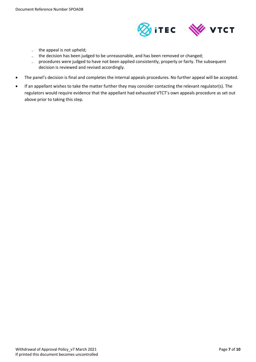

- the appeal is not upheld;
- the decision has been judged to be unreasonable, and has been removed or changed;
- procedures were judged to have not been applied consistently, properly or fairly. The subsequent decision is reviewed and revised accordingly.
- The panel's decision is final and completes the internal appeals procedures. No further appeal will be accepted.
- If an appellant wishes to take the matter further they may consider contacting the relevant regulator(s). The regulators would require evidence that the appellant had exhausted VTCT's own appeals procedure as set out above prior to taking this step.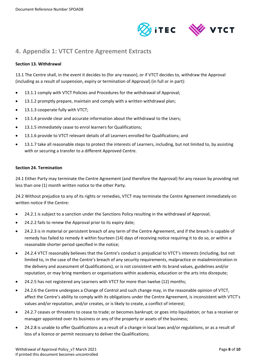



# <span id="page-7-0"></span>**4. Appendix 1: VTCT Centre Agreement Extracts**

#### **Section 13. Withdrawal**

13.1 The Centre shall, in the event it decides to (for any reason), or if VTCT decides to, withdraw the Approval (including as a result of suspension, expiry or termination of Approval) (in full or in part):

- 13.1.1 comply with VTCT Policies and Procedures for the withdrawal of Approval;
- 13.1.2 promptly prepare, maintain and comply with a written withdrawal plan;
- 13.1.3 cooperate fully with VTCT;
- 13.1.4 provide clear and accurate information about the withdrawal to the Users;
- 13.1.5 immediately cease to enrol learners for Qualifications;
- 13.1.6 provide to VTCT relevant details of all Learners enrolled for Qualifications; and
- 13.1.7 take all reasonable steps to protect the interests of Learners, including, but not limited to, by assisting with or securing a transfer to a different Approved Centre.

#### **Section 24. Termination**

24.1 Either Party may terminate the Centre Agreement (and therefore the Approval) for any reason by providing not less than one (1) month written notice to the other Party.

24.2 Without prejudice to any of its rights or remedies, VTCT may terminate the Centre Agreement immediately on written notice if the Centre:

- 24.2.1 is subject to a sanction under the Sanctions Policy resulting in the withdrawal of Approval;
- 24.2.2 fails to renew the Approval prior to its expiry date;
- 24.2.3 is in material or persistent breach of any term of the Centre Agreement, and if the breach is capable of remedy has failed to remedy it within fourteen (14) days of receiving notice requiring it to do so, or within a reasonable shorter period specified in the notice;
- 24.2.4 VTCT reasonably believes that the Centre's conduct is prejudicial to VTCT's interests (including, but not limited to, in the case of the Centre's breach of any security requirements, malpractice or maladministration in the delivery and assessment of Qualifications), or is not consistent with its brand values, guidelines and/or reputation, or may bring members or organisations within academia, education or the arts into disrepute;
- 24.2.5 has not registered any Learners with VTCT for more than twelve (12) months;
- 24.2.6 the Centre undergoes a Change of Control and such change may, in the reasonable opinion of VTCT, affect the Centre's ability to comply with its obligations under the Centre Agreement, is inconsistent with VTCT's values and/or reputation, and/or creates, or is likely to create, a conflict of interest;
- 24.2.7 ceases or threatens to cease to trade; or becomes bankrupt; or goes into liquidation; or has a receiver or manager appointed over its business or any of the property or assets of the business;
- 24.2.8 is unable to offer Qualifications as a result of a change in local laws and/or regulations, or as a result of loss of a licence or permit necessary to deliver the Qualifications;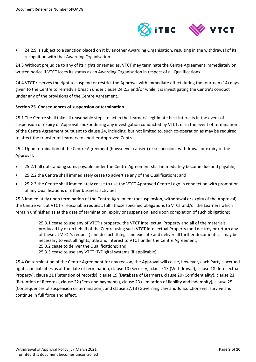

• 24.2.9 is subject to a sanction placed on it by another Awarding Organisation, resulting in the withdrawal of its recognition with that Awarding Organisation.

24.3 Without prejudice to any of its rights or remedies, VTCT may terminate the Centre Agreement immediately on written notice if VTCT loses its status as an Awarding Organisation in respect of all Qualifications.

24.4 VTCT reserves the right to suspend or restrict the Approval with immediate effect during the fourteen (14) days given to the Centre to remedy a breach under clause 24.2.3 and/or while it is investigating the Centre's conduct under any of the provisions of the Centre Agreement.

#### **Section 25. Consequences of suspension or termination**

25.1 The Centre shall take all reasonable steps to act in the Learners' legitimate best interests in the event of suspension or expiry of Approval and/or during any investigation conducted by VTCT, or in the event of termination of the Centre Agreement pursuant to clause 24, including, but not limited to, such co-operation as may be required to affect the transfer of Learners to another Approved Centre.

25.2 Upon termination of the Centre Agreement (howsoever caused) or suspension, withdrawal or expiry of the Approval:

- 25.2.1 all outstanding sums payable under the Centre Agreement shall immediately become due and payable;
- 25.2.2 the Centre shall immediately cease to advertise any of the Qualifications; and
- 25.2.3 the Centre shall immediately cease to use the VTCT Approved Centre Logo in connection with promotion of any Qualifications or other business activities.

25.3 Immediately upon termination of the Centre Agreement (or suspension, withdrawal or expiry of the Approval), the Centre will, at VTCT's reasonable request, fulfil those specified obligations to VTCT and/or the Learners which remain unfinished as at the date of termination, expiry or suspension, and upon completion of such obligations:

- 25.3.1 cease to use any of VTCT's property, the VTCT Intellectual Property and all of the materials produced by or on behalf of the Centre using such VTCT Intellectual Property (and destroy or return any of these at VTCT's request) and do such things and execute and deliver all further documents as may be necessary to vest all rights, title and interest to VTCT under the Centre Agreement;
- ̵ 25.3.2 cease to deliver the Qualifications; and
- 25.3.3 cease to use any VTCT IT/Digital systems (if applicable).

25.4 On termination of the Centre Agreement for any reason, the Approval will cease, however, each Party's accrued rights and liabilities as at the date of termination, clause 10 (Security), clause 13 (Withdrawal), clause 18 (Intellectual Property), clause 21 (Retention of records), clause 19 (Database of Learners), clause 20 (Confidentiality), clause 21 (Retention of Records), clause 22 (Fees and payments), clause 23 (Limitation of liability and indemnity), clause 25 (Consequences of suspension or termination), and clause 27.13 (Governing Law and Jurisdiction) will survive and continue in full force and effect.